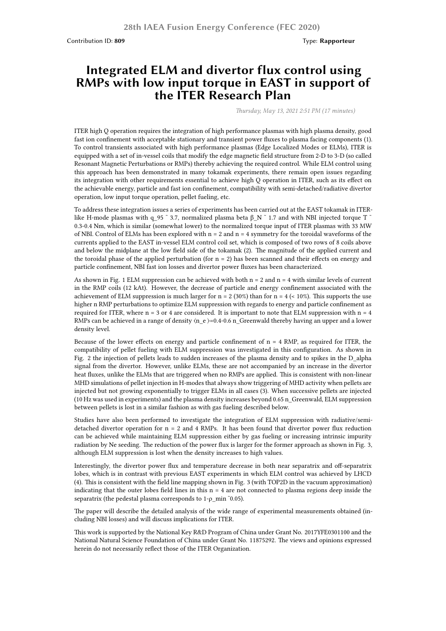Contribution ID: **809** Type: **Rapporteur**

## **Integrated ELM and divertor flux control using RMPs with low input torque in EAST in support of the ITER Research Plan**

*Thursday, May 13, 2021 2:51 PM (17 minutes)*

ITER high Q operation requires the integration of high performance plasmas with high plasma density, good fast ion confinement with acceptable stationary and transient power fluxes to plasma facing components (1). To control transients associated with high performance plasmas (Edge Localized Modes or ELMs), ITER is equipped with a set of in-vessel coils that modify the edge magnetic field structure from 2-D to 3-D (so called Resonant Magnetic Perturbations or RMPs) thereby achieving the required control. While ELM control using this approach has been demonstrated in many tokamak experiments, there remain open issues regarding its integration with other requirements essential to achieve high Q operation in ITER, such as its effect on the achievable energy, particle and fast ion confinement, compatibility with semi-detached/radiative divertor operation, low input torque operation, pellet fueling, etc.

To address these integration issues a series of experiments has been carried out at the EAST tokamak in ITERlike H-mode plasmas with q 95  $\degree$  3.7, normalized plasma beta β N  $\degree$  1.7 and with NBI injected torque T  $\degree$ 0.3-0.4 Nm, which is similar (somewhat lower) to the normalized torque input of ITER plasmas with 33 MW of NBI. Control of ELMs has been explored with  $n = 2$  and  $n = 4$  symmetry for the toroidal waveforms of the currents applied to the EAST in-vessel ELM control coil set, which is composed of two rows of 8 coils above and below the midplane at the low field side of the tokamak (2). The magnitude of the applied current and the toroidal phase of the applied perturbation (for  $n = 2$ ) has been scanned and their effects on energy and particle confinement, NBI fast ion losses and divertor power fluxes has been characterized.

As shown in Fig. 1 ELM suppression can be achieved with both  $n = 2$  and  $n = 4$  with similar levels of current in the RMP coils (12 kAt). However, the decrease of particle and energy confinement associated with the achievement of ELM suppression is much larger for  $n = 2 (30%)$  than for  $n = 4 \le 10%)$ . This supports the use higher n RMP perturbations to optimize ELM suppression with regards to energy and particle confinement as required for ITER, where  $n = 3$  or 4 are considered. It is important to note that ELM suppression with  $n = 4$ RMPs can be achieved in a range of density  $(n_e) = 0.4-0.6$  n\_Greenwald thereby having an upper and a lower density level.

Because of the lower effects on energy and particle confinement of  $n = 4$  RMP, as required for ITER, the compatibility of pellet fueling with ELM suppression was investigated in this configuration. As shown in Fig. 2 the injection of pellets leads to sudden increases of the plasma density and to spikes in the D\_alpha signal from the divertor. However, unlike ELMs, these are not accompanied by an increase in the divertor heat fluxes, unlike the ELMs that are triggered when no RMPs are applied. This is consistent with non-linear MHD simulations of pellet injection in H-modes that always show triggering of MHD activity when pellets are injected but not growing exponentially to trigger ELMs in all cases (3). When successive pellets are injected (10 Hz was used in experiments) and the plasma density increases beyond 0.65 n\_Greenwald, ELM suppression between pellets is lost in a similar fashion as with gas fueling described below.

Studies have also been performed to investigate the integration of ELM suppression with radiative/semidetached divertor operation for  $n = 2$  and 4 RMPs. It has been found that divertor power flux reduction can be achieved while maintaining ELM suppression either by gas fueling or increasing intrinsic impurity radiation by Ne seeding. The reduction of the power flux is larger for the former approach as shown in Fig. 3, although ELM suppression is lost when the density increases to high values.

Interestingly, the divertor power flux and temperature decrease in both near separatrix and off-separatrix lobes, which is in contrast with previous EAST experiments in which ELM control was achieved by LHCD (4). This is consistent with the field line mapping shown in Fig. 3 (with TOP2D in the vacuum approximation) indicating that the outer lobes field lines in this  $n = 4$  are not connected to plasma regions deep inside the separatrix (the pedestal plasma corresponds to 1-ρ\_min ˜0.05).

The paper will describe the detailed analysis of the wide range of experimental measurements obtained (including NBI losses) and will discuss implications for ITER.

This work is supported by the National Key R&D Program of China under Grant No. 2017YFE0301100 and the National Natural Science Foundation of China under Grant No. 11875292. The views and opinions expressed herein do not necessarily reflect those of the ITER Organization.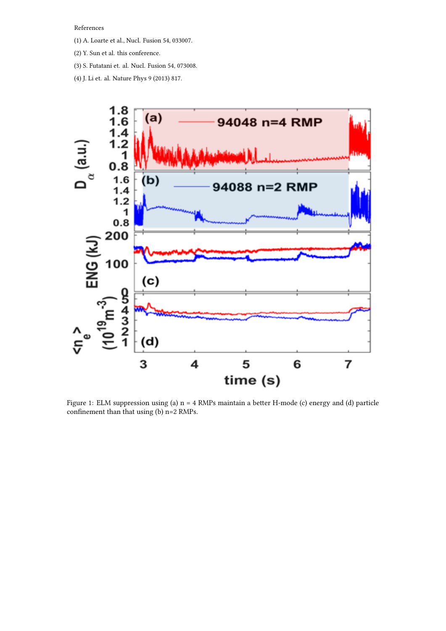References

- (1) A. Loarte et al., Nucl. Fusion 54, 033007.
- (2) Y. Sun et al. this conference.
- (3) S. Futatani et. al. Nucl. Fusion 54, 073008.
- (4) J. Li et. al. Nature Phys 9 (2013) 817.



Figure 1: ELM suppression using (a) n = 4 RMPs maintain a better H-mode (c) energy and (d) particle confinement than that using (b) n=2 RMPs.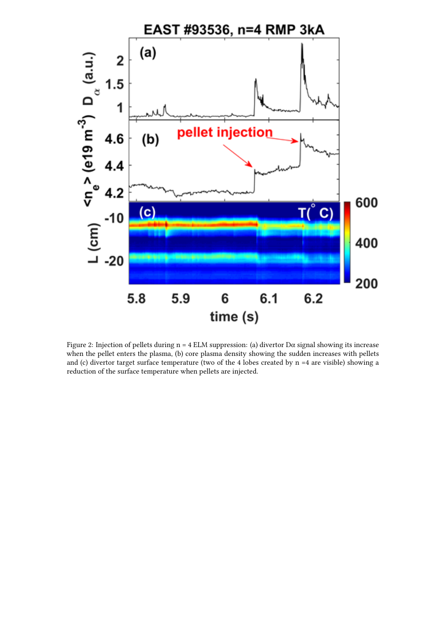

Figure 2: Injection of pellets during  $n = 4$  ELM suppression: (a) divertor D $\alpha$  signal showing its increase when the pellet enters the plasma, (b) core plasma density showing the sudden increases with pellets and (c) divertor target surface temperature (two of the 4 lobes created by n =4 are visible) showing a reduction of the surface temperature when pellets are injected.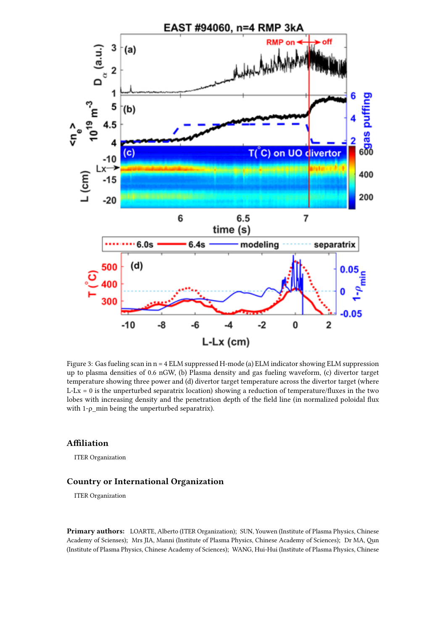

Figure 3: Gas fueling scan in  $n = 4$  ELM suppressed H-mode (a) ELM indicator showing ELM suppression up to plasma densities of 0.6 nGW, (b) Plasma density and gas fueling waveform, (c) divertor target temperature showing three power and (d) divertor target temperature across the divertor target (where  $L-Lx = 0$  is the unperturbed separatrix location) showing a reduction of temperature/fluxes in the two lobes with increasing density and the penetration depth of the field line (in normalized poloidal flux with  $1-\rho$  min being the unperturbed separatrix).

## **Affiliation**

ITER Organization

## **Country or International Organization**

ITER Organization

**Primary authors:** LOARTE, Alberto (ITER Organization); SUN, Youwen (Institute of Plasma Physics, Chinese Academy of Scienses); Mrs JIA, Manni (Institute of Plasma Physics, Chinese Academy of Sciences); Dr MA, Qun (Institute of Plasma Physics, Chinese Academy of Sciences); WANG, Hui-Hui (Institute of Plasma Physics, Chinese